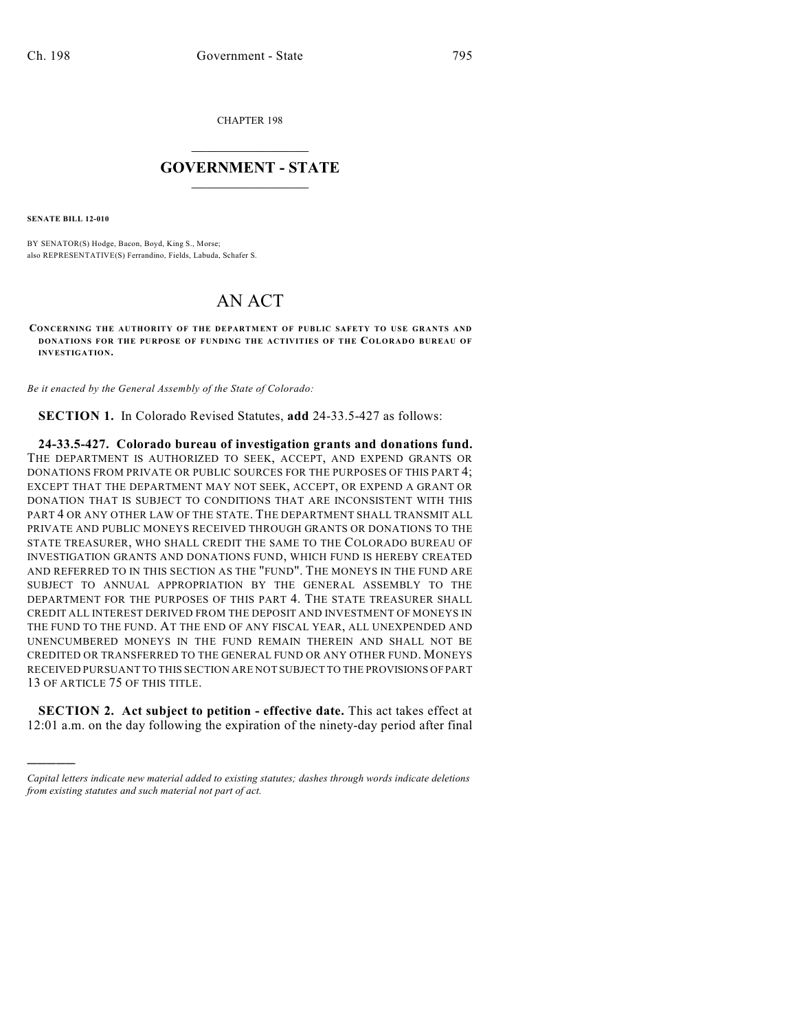CHAPTER 198

## $\overline{\phantom{a}}$  . The set of the set of the set of the set of the set of the set of the set of the set of the set of the set of the set of the set of the set of the set of the set of the set of the set of the set of the set o **GOVERNMENT - STATE**  $\_$

**SENATE BILL 12-010**

)))))

BY SENATOR(S) Hodge, Bacon, Boyd, King S., Morse; also REPRESENTATIVE(S) Ferrandino, Fields, Labuda, Schafer S.

## AN ACT

**CONCERNING THE AUTHORITY OF THE DEPARTMENT OF PUBLIC SAFETY TO USE GRANTS AND DONATIONS FOR THE PURPOSE OF FUNDING THE ACTIVITIES OF THE COLORADO BUREAU OF INVESTIGATION.**

*Be it enacted by the General Assembly of the State of Colorado:*

**SECTION 1.** In Colorado Revised Statutes, **add** 24-33.5-427 as follows:

**24-33.5-427. Colorado bureau of investigation grants and donations fund.** THE DEPARTMENT IS AUTHORIZED TO SEEK, ACCEPT, AND EXPEND GRANTS OR DONATIONS FROM PRIVATE OR PUBLIC SOURCES FOR THE PURPOSES OF THIS PART 4; EXCEPT THAT THE DEPARTMENT MAY NOT SEEK, ACCEPT, OR EXPEND A GRANT OR DONATION THAT IS SUBJECT TO CONDITIONS THAT ARE INCONSISTENT WITH THIS PART 4 OR ANY OTHER LAW OF THE STATE. THE DEPARTMENT SHALL TRANSMIT ALL PRIVATE AND PUBLIC MONEYS RECEIVED THROUGH GRANTS OR DONATIONS TO THE STATE TREASURER, WHO SHALL CREDIT THE SAME TO THE COLORADO BUREAU OF INVESTIGATION GRANTS AND DONATIONS FUND, WHICH FUND IS HEREBY CREATED AND REFERRED TO IN THIS SECTION AS THE "FUND". THE MONEYS IN THE FUND ARE SUBJECT TO ANNUAL APPROPRIATION BY THE GENERAL ASSEMBLY TO THE DEPARTMENT FOR THE PURPOSES OF THIS PART 4. THE STATE TREASURER SHALL CREDIT ALL INTEREST DERIVED FROM THE DEPOSIT AND INVESTMENT OF MONEYS IN THE FUND TO THE FUND. AT THE END OF ANY FISCAL YEAR, ALL UNEXPENDED AND UNENCUMBERED MONEYS IN THE FUND REMAIN THEREIN AND SHALL NOT BE CREDITED OR TRANSFERRED TO THE GENERAL FUND OR ANY OTHER FUND. MONEYS RECEIVED PURSUANT TO THIS SECTION ARE NOT SUBJECT TO THE PROVISIONS OFPART 13 OF ARTICLE 75 OF THIS TITLE.

**SECTION 2. Act subject to petition - effective date.** This act takes effect at 12:01 a.m. on the day following the expiration of the ninety-day period after final

*Capital letters indicate new material added to existing statutes; dashes through words indicate deletions from existing statutes and such material not part of act.*